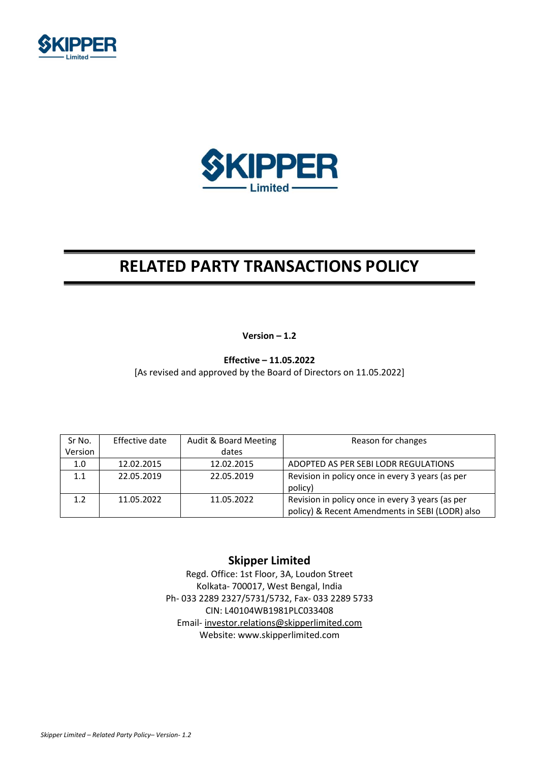



# RELATED PARTY TRANSACTIONS POLICY

Version – 1.2

Effective – 11.05.2022

[As revised and approved by the Board of Directors on 11.05.2022]

| Sr No.           | Effective date | Audit & Board Meeting | Reason for changes                               |
|------------------|----------------|-----------------------|--------------------------------------------------|
| Version          |                | dates                 |                                                  |
| 1.0              | 12.02.2015     | 12.02.2015            | ADOPTED AS PER SEBILODR REGULATIONS              |
| 1.1              | 22.05.2019     | 22.05.2019            | Revision in policy once in every 3 years (as per |
|                  |                |                       | policy)                                          |
| 1.2 <sub>1</sub> | 11.05.2022     | 11.05.2022            | Revision in policy once in every 3 years (as per |
|                  |                |                       | policy) & Recent Amendments in SEBI (LODR) also  |

# Skipper Limited

Regd. Office: 1st Floor, 3A, Loudon Street Kolkata- 700017, West Bengal, India Ph- 033 2289 2327/5731/5732, Fax- 033 2289 5733 CIN: L40104WB1981PLC033408 Email- investor.relations@skipperlimited.com Website: www.skipperlimited.com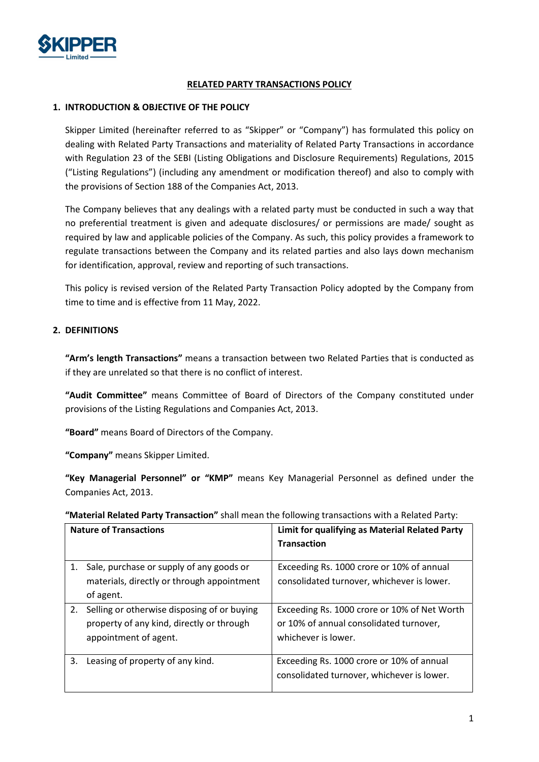

## RELATED PARTY TRANSACTIONS POLICY

## 1. INTRODUCTION & OBJECTIVE OF THE POLICY

Skipper Limited (hereinafter referred to as "Skipper" or "Company") has formulated this policy on dealing with Related Party Transactions and materiality of Related Party Transactions in accordance with Regulation 23 of the SEBI (Listing Obligations and Disclosure Requirements) Regulations, 2015 ("Listing Regulations") (including any amendment or modification thereof) and also to comply with the provisions of Section 188 of the Companies Act, 2013.

The Company believes that any dealings with a related party must be conducted in such a way that no preferential treatment is given and adequate disclosures/ or permissions are made/ sought as required by law and applicable policies of the Company. As such, this policy provides a framework to regulate transactions between the Company and its related parties and also lays down mechanism for identification, approval, review and reporting of such transactions.

This policy is revised version of the Related Party Transaction Policy adopted by the Company from time to time and is effective from 11 May, 2022.

# 2. DEFINITIONS

"Arm's length Transactions" means a transaction between two Related Parties that is conducted as if they are unrelated so that there is no conflict of interest.

"Audit Committee" means Committee of Board of Directors of the Company constituted under provisions of the Listing Regulations and Companies Act, 2013.

"Board" means Board of Directors of the Company.

"Company" means Skipper Limited.

"Key Managerial Personnel" or "KMP" means Key Managerial Personnel as defined under the Companies Act, 2013.

"Material Related Party Transaction" shall mean the following transactions with a Related Party:

|    | <b>Nature of Transactions</b>                                                                                     | Limit for qualifying as Material Related Party<br><b>Transaction</b>                                           |
|----|-------------------------------------------------------------------------------------------------------------------|----------------------------------------------------------------------------------------------------------------|
| 1. | Sale, purchase or supply of any goods or<br>materials, directly or through appointment<br>of agent.               | Exceeding Rs. 1000 crore or 10% of annual<br>consolidated turnover, whichever is lower.                        |
| 2. | Selling or otherwise disposing of or buying<br>property of any kind, directly or through<br>appointment of agent. | Exceeding Rs. 1000 crore or 10% of Net Worth<br>or 10% of annual consolidated turnover,<br>whichever is lower. |
| 3. | Leasing of property of any kind.                                                                                  | Exceeding Rs. 1000 crore or 10% of annual<br>consolidated turnover, whichever is lower.                        |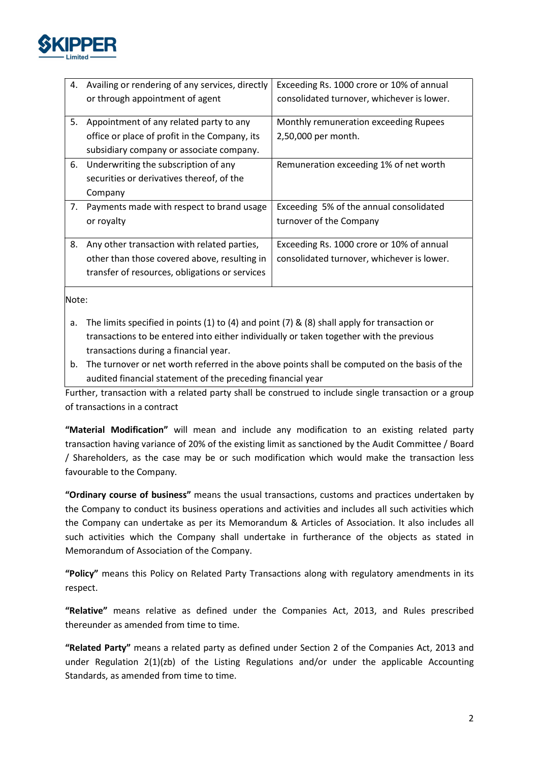

|    | 4. Availing or rendering of any services, directly | Exceeding Rs. 1000 crore or 10% of annual  |
|----|----------------------------------------------------|--------------------------------------------|
|    | or through appointment of agent                    | consolidated turnover, whichever is lower. |
|    |                                                    |                                            |
| 5. | Appointment of any related party to any            | Monthly remuneration exceeding Rupees      |
|    | office or place of profit in the Company, its      | 2,50,000 per month.                        |
|    | subsidiary company or associate company.           |                                            |
|    | 6. Underwriting the subscription of any            | Remuneration exceeding 1% of net worth     |
|    | securities or derivatives thereof, of the          |                                            |
|    | Company                                            |                                            |
| 7. | Payments made with respect to brand usage          | Exceeding 5% of the annual consolidated    |
|    | or royalty                                         | turnover of the Company                    |
|    |                                                    |                                            |
| 8. | Any other transaction with related parties,        | Exceeding Rs. 1000 crore or 10% of annual  |
|    | other than those covered above, resulting in       | consolidated turnover, whichever is lower. |
|    | transfer of resources, obligations or services     |                                            |
|    |                                                    |                                            |

Note:

- a. The limits specified in points (1) to (4) and point (7) & (8) shall apply for transaction or transactions to be entered into either individually or taken together with the previous transactions during a financial year.
- b. The turnover or net worth referred in the above points shall be computed on the basis of the audited financial statement of the preceding financial year

Further, transaction with a related party shall be construed to include single transaction or a group of transactions in a contract

"Material Modification" will mean and include any modification to an existing related party transaction having variance of 20% of the existing limit as sanctioned by the Audit Committee / Board / Shareholders, as the case may be or such modification which would make the transaction less favourable to the Company.

"Ordinary course of business" means the usual transactions, customs and practices undertaken by the Company to conduct its business operations and activities and includes all such activities which the Company can undertake as per its Memorandum & Articles of Association. It also includes all such activities which the Company shall undertake in furtherance of the objects as stated in Memorandum of Association of the Company.

"Policy" means this Policy on Related Party Transactions along with regulatory amendments in its respect.

"Relative" means relative as defined under the Companies Act, 2013, and Rules prescribed thereunder as amended from time to time.

"Related Party" means a related party as defined under Section 2 of the Companies Act, 2013 and under Regulation  $2(1)(zb)$  of the Listing Regulations and/or under the applicable Accounting Standards, as amended from time to time.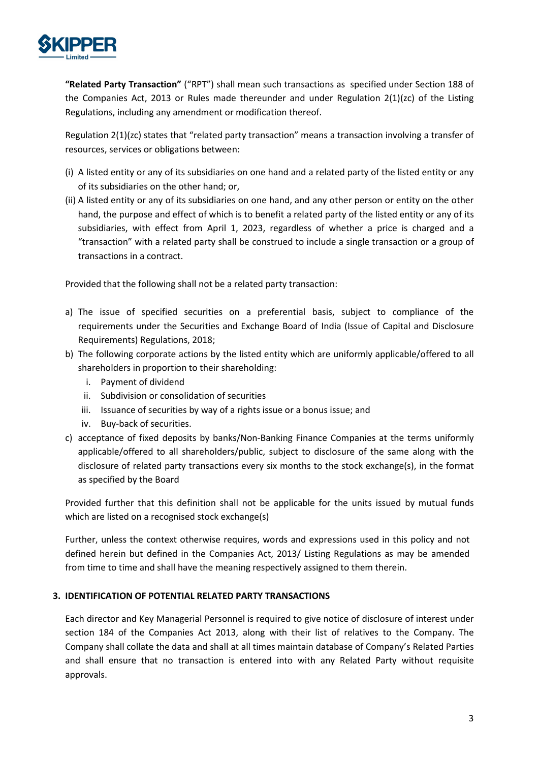

"Related Party Transaction" ("RPT") shall mean such transactions as specified under Section 188 of the Companies Act, 2013 or Rules made thereunder and under Regulation  $2(1)(zc)$  of the Listing Regulations, including any amendment or modification thereof.

Regulation 2(1)(zc) states that "related party transaction" means a transaction involving a transfer of resources, services or obligations between:

- (i) A listed entity or any of its subsidiaries on one hand and a related party of the listed entity or any of its subsidiaries on the other hand; or,
- (ii) A listed entity or any of its subsidiaries on one hand, and any other person or entity on the other hand, the purpose and effect of which is to benefit a related party of the listed entity or any of its subsidiaries, with effect from April 1, 2023, regardless of whether a price is charged and a "transaction" with a related party shall be construed to include a single transaction or a group of transactions in a contract.

Provided that the following shall not be a related party transaction:

- a) The issue of specified securities on a preferential basis, subject to compliance of the requirements under the Securities and Exchange Board of India (Issue of Capital and Disclosure Requirements) Regulations, 2018;
- b) The following corporate actions by the listed entity which are uniformly applicable/offered to all shareholders in proportion to their shareholding:
	- i. Payment of dividend
	- ii. Subdivision or consolidation of securities
	- iii. Issuance of securities by way of a rights issue or a bonus issue; and
	- iv. Buy-back of securities.
- c) acceptance of fixed deposits by banks/Non-Banking Finance Companies at the terms uniformly applicable/offered to all shareholders/public, subject to disclosure of the same along with the disclosure of related party transactions every six months to the stock exchange(s), in the format as specified by the Board

Provided further that this definition shall not be applicable for the units issued by mutual funds which are listed on a recognised stock exchange(s)

Further, unless the context otherwise requires, words and expressions used in this policy and not defined herein but defined in the Companies Act, 2013/ Listing Regulations as may be amended from time to time and shall have the meaning respectively assigned to them therein.

# 3. IDENTIFICATION OF POTENTIAL RELATED PARTY TRANSACTIONS

Each director and Key Managerial Personnel is required to give notice of disclosure of interest under section 184 of the Companies Act 2013, along with their list of relatives to the Company. The Company shall collate the data and shall at all times maintain database of Company's Related Parties and shall ensure that no transaction is entered into with any Related Party without requisite approvals.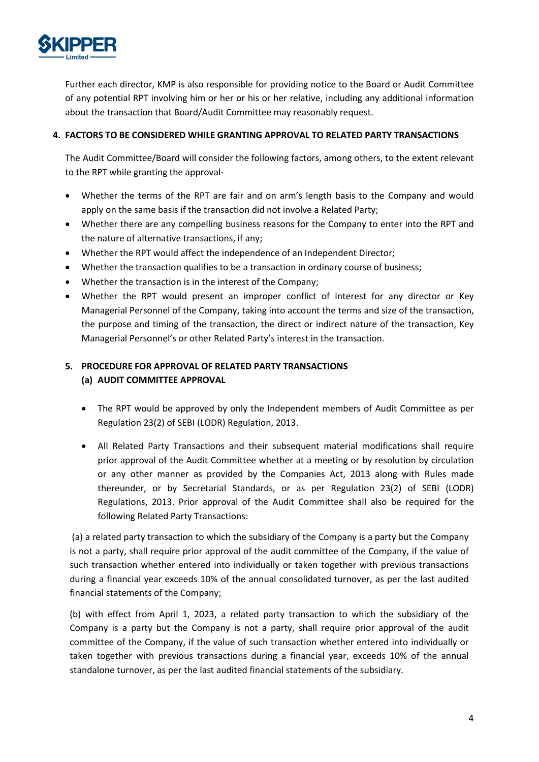

Further each director, KMP is also responsible for providing notice to the Board or Audit Committee of any potential RPT involving him or her or his or her relative, including any additional information about the transaction that Board/Audit Committee may reasonably request.

# 4. FACTORS TO BE CONSIDERED WHILE GRANTING APPROVAL TO RELATED PARTY TRANSACTIONS

The Audit Committee/Board will consider the following factors, among others, to the extent relevant to the RPT while granting the approval-

- Whether the terms of the RPT are fair and on arm's length basis to the Company and would apply on the same basis if the transaction did not involve a Related Party;
- Whether there are any compelling business reasons for the Company to enter into the RPT and the nature of alternative transactions, if any;
- Whether the RPT would affect the independence of an Independent Director;
- Whether the transaction qualifies to be a transaction in ordinary course of business;
- Whether the transaction is in the interest of the Company;
- Whether the RPT would present an improper conflict of interest for any director or Key Managerial Personnel of the Company, taking into account the terms and size of the transaction, the purpose and timing of the transaction, the direct or indirect nature of the transaction, Key Managerial Personnel's or other Related Party's interest in the transaction.

# 5. PROCEDURE FOR APPROVAL OF RELATED PARTY TRANSACTIONS (a) AUDIT COMMITTEE APPROVAL

- The RPT would be approved by only the Independent members of Audit Committee as per Regulation 23(2) of SEBI (LODR) Regulation, 2013.
- All Related Party Transactions and their subsequent material modifications shall require prior approval of the Audit Committee whether at a meeting or by resolution by circulation or any other manner as provided by the Companies Act, 2013 along with Rules made thereunder, or by Secretarial Standards, or as per Regulation 23(2) of SEBI (LODR) Regulations, 2013. Prior approval of the Audit Committee shall also be required for the following Related Party Transactions:

 (a) a related party transaction to which the subsidiary of the Company is a party but the Company is not a party, shall require prior approval of the audit committee of the Company, if the value of such transaction whether entered into individually or taken together with previous transactions during a financial year exceeds 10% of the annual consolidated turnover, as per the last audited financial statements of the Company;

(b) with effect from April 1, 2023, a related party transaction to which the subsidiary of the Company is a party but the Company is not a party, shall require prior approval of the audit committee of the Company, if the value of such transaction whether entered into individually or taken together with previous transactions during a financial year, exceeds 10% of the annual standalone turnover, as per the last audited financial statements of the subsidiary.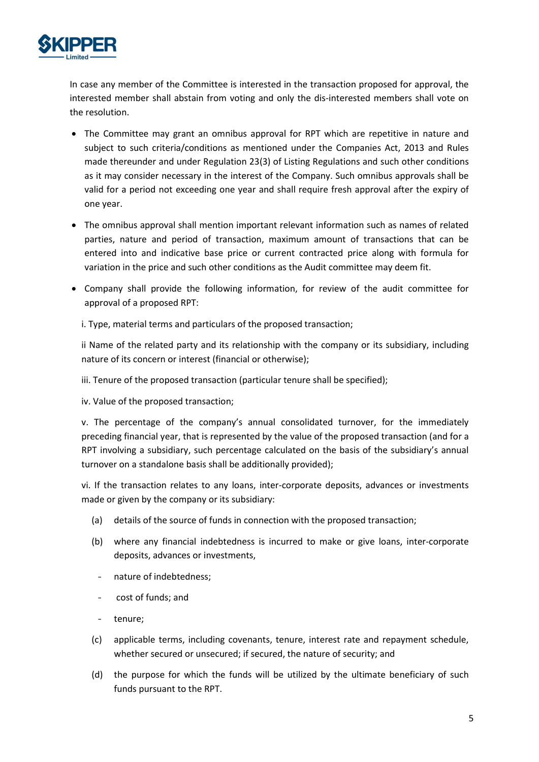

In case any member of the Committee is interested in the transaction proposed for approval, the interested member shall abstain from voting and only the dis-interested members shall vote on the resolution.

- The Committee may grant an omnibus approval for RPT which are repetitive in nature and subject to such criteria/conditions as mentioned under the Companies Act, 2013 and Rules made thereunder and under Regulation 23(3) of Listing Regulations and such other conditions as it may consider necessary in the interest of the Company. Such omnibus approvals shall be valid for a period not exceeding one year and shall require fresh approval after the expiry of one year.
- The omnibus approval shall mention important relevant information such as names of related parties, nature and period of transaction, maximum amount of transactions that can be entered into and indicative base price or current contracted price along with formula for variation in the price and such other conditions as the Audit committee may deem fit.
- Company shall provide the following information, for review of the audit committee for approval of a proposed RPT:

i. Type, material terms and particulars of the proposed transaction;

ii Name of the related party and its relationship with the company or its subsidiary, including nature of its concern or interest (financial or otherwise);

iii. Tenure of the proposed transaction (particular tenure shall be specified);

iv. Value of the proposed transaction;

v. The percentage of the company's annual consolidated turnover, for the immediately preceding financial year, that is represented by the value of the proposed transaction (and for a RPT involving a subsidiary, such percentage calculated on the basis of the subsidiary's annual turnover on a standalone basis shall be additionally provided);

vi. If the transaction relates to any loans, inter-corporate deposits, advances or investments made or given by the company or its subsidiary:

- (a) details of the source of funds in connection with the proposed transaction;
- (b) where any financial indebtedness is incurred to make or give loans, inter-corporate deposits, advances or investments,
	- nature of indebtedness;
	- cost of funds; and
- tenure;
- (c) applicable terms, including covenants, tenure, interest rate and repayment schedule, whether secured or unsecured; if secured, the nature of security; and
- (d) the purpose for which the funds will be utilized by the ultimate beneficiary of such funds pursuant to the RPT.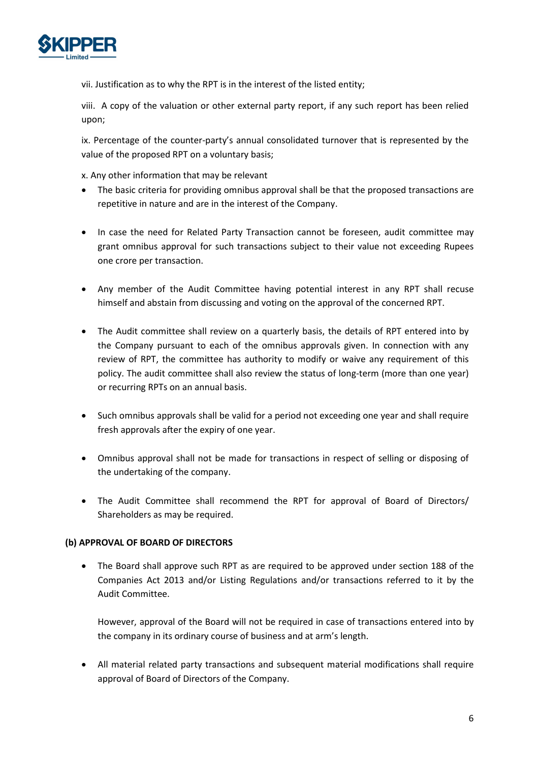

vii. Justification as to why the RPT is in the interest of the listed entity;

viii. A copy of the valuation or other external party report, if any such report has been relied upon;

ix. Percentage of the counter-party's annual consolidated turnover that is represented by the value of the proposed RPT on a voluntary basis;

x. Any other information that may be relevant

- The basic criteria for providing omnibus approval shall be that the proposed transactions are repetitive in nature and are in the interest of the Company.
- In case the need for Related Party Transaction cannot be foreseen, audit committee may grant omnibus approval for such transactions subject to their value not exceeding Rupees one crore per transaction.
- Any member of the Audit Committee having potential interest in any RPT shall recuse himself and abstain from discussing and voting on the approval of the concerned RPT.
- The Audit committee shall review on a quarterly basis, the details of RPT entered into by the Company pursuant to each of the omnibus approvals given. In connection with any review of RPT, the committee has authority to modify or waive any requirement of this policy. The audit committee shall also review the status of long-term (more than one year) or recurring RPTs on an annual basis.
- Such omnibus approvals shall be valid for a period not exceeding one year and shall require fresh approvals after the expiry of one year.
- Omnibus approval shall not be made for transactions in respect of selling or disposing of the undertaking of the company.
- The Audit Committee shall recommend the RPT for approval of Board of Directors/ Shareholders as may be required.

## (b) APPROVAL OF BOARD OF DIRECTORS

 The Board shall approve such RPT as are required to be approved under section 188 of the Companies Act 2013 and/or Listing Regulations and/or transactions referred to it by the Audit Committee.

However, approval of the Board will not be required in case of transactions entered into by the company in its ordinary course of business and at arm's length.

 All material related party transactions and subsequent material modifications shall require approval of Board of Directors of the Company.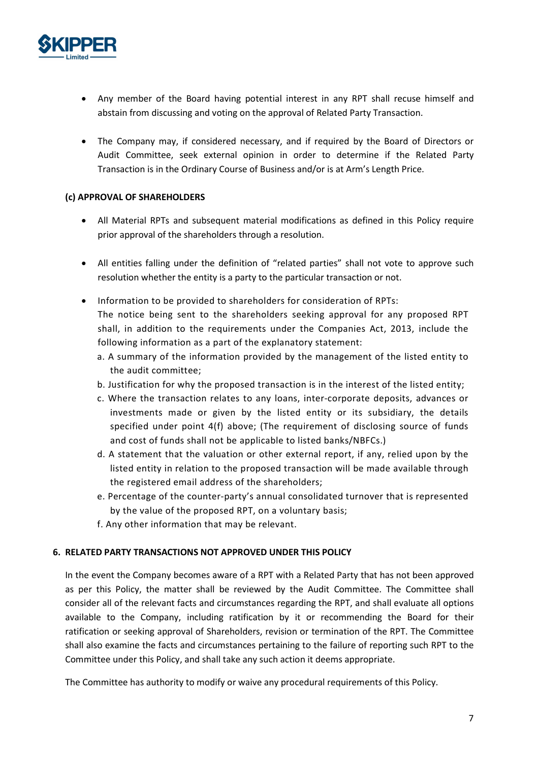

- Any member of the Board having potential interest in any RPT shall recuse himself and abstain from discussing and voting on the approval of Related Party Transaction.
- The Company may, if considered necessary, and if required by the Board of Directors or Audit Committee, seek external opinion in order to determine if the Related Party Transaction is in the Ordinary Course of Business and/or is at Arm's Length Price.

## (c) APPROVAL OF SHAREHOLDERS

- All Material RPTs and subsequent material modifications as defined in this Policy require prior approval of the shareholders through a resolution.
- All entities falling under the definition of "related parties" shall not vote to approve such resolution whether the entity is a party to the particular transaction or not.
- Information to be provided to shareholders for consideration of RPTs: The notice being sent to the shareholders seeking approval for any proposed RPT shall, in addition to the requirements under the Companies Act, 2013, include the following information as a part of the explanatory statement:
	- a. A summary of the information provided by the management of the listed entity to the audit committee;
	- b. Justification for why the proposed transaction is in the interest of the listed entity;
	- c. Where the transaction relates to any loans, inter-corporate deposits, advances or investments made or given by the listed entity or its subsidiary, the details specified under point 4(f) above; (The requirement of disclosing source of funds and cost of funds shall not be applicable to listed banks/NBFCs.)
	- d. A statement that the valuation or other external report, if any, relied upon by the listed entity in relation to the proposed transaction will be made available through the registered email address of the shareholders;
	- e. Percentage of the counter-party's annual consolidated turnover that is represented by the value of the proposed RPT, on a voluntary basis;
	- f. Any other information that may be relevant.

## 6. RELATED PARTY TRANSACTIONS NOT APPROVED UNDER THIS POLICY

In the event the Company becomes aware of a RPT with a Related Party that has not been approved as per this Policy, the matter shall be reviewed by the Audit Committee. The Committee shall consider all of the relevant facts and circumstances regarding the RPT, and shall evaluate all options available to the Company, including ratification by it or recommending the Board for their ratification or seeking approval of Shareholders, revision or termination of the RPT. The Committee shall also examine the facts and circumstances pertaining to the failure of reporting such RPT to the Committee under this Policy, and shall take any such action it deems appropriate.

The Committee has authority to modify or waive any procedural requirements of this Policy.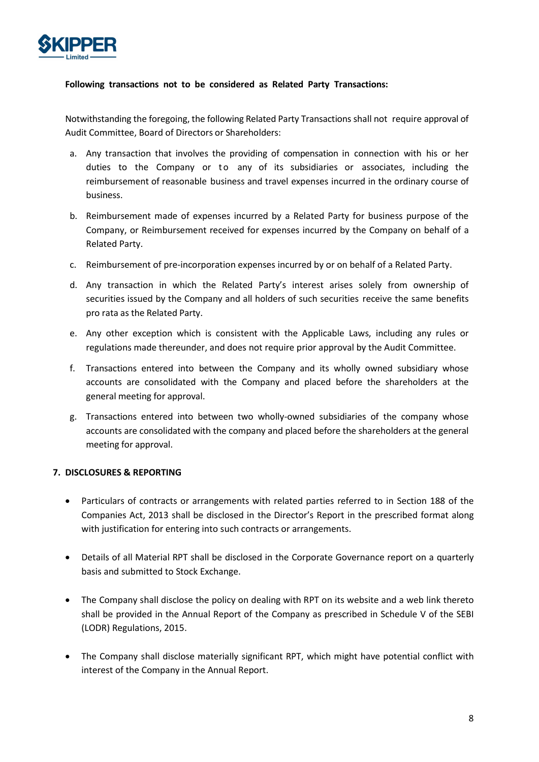

## Following transactions not to be considered as Related Party Transactions:

Notwithstanding the foregoing, the following Related Party Transactions shall not require approval of Audit Committee, Board of Directors or Shareholders:

- a. Any transaction that involves the providing of compensation in connection with his or her **DER**<br>inthstanding the foregoing, the following Related Party Transactions:<br>ithstanding the foregoing, the following Related Party Transactions shall not require approval of<br>Committee, Board of Directors or Shareholders:<br>A reimbursement of reasonable business and travel expenses incurred in the ordinary course of business.
- b. Reimbursement made of expenses incurred by a Related Party for business purpose of the Company, or Reimbursement received for expenses incurred by the Company on behalf of a Related Party.
- c. Reimbursement of pre-incorporation expenses incurred by or on behalf of a Related Party.
- d. Any transaction in which the Related Party's interest arises solely from ownership of securities issued by the Company and all holders of such securities receive the same benefits pro rata as the Related Party.
- e. Any other exception which is consistent with the Applicable Laws, including any rules or regulations made thereunder, and does not require prior approval by the Audit Committee.
- f. Transactions entered into between the Company and its wholly owned subsidiary whose accounts are consolidated with the Company and placed before the shareholders at the general meeting for approval.
- g. Transactions entered into between two wholly-owned subsidiaries of the company whose accounts are consolidated with the company and placed before the shareholders at the general meeting for approval.

## 7. DISCLOSURES & REPORTING

- Particulars of contracts or arrangements with related parties referred to in Section 188 of the Companies Act, 2013 shall be disclosed in the Director's Report in the prescribed format along with justification for entering into such contracts or arrangements.
- Details of all Material RPT shall be disclosed in the Corporate Governance report on a quarterly basis and submitted to Stock Exchange.
- The Company shall disclose the policy on dealing with RPT on its website and a web link thereto shall be provided in the Annual Report of the Company as prescribed in Schedule V of the SEBI (LODR) Regulations, 2015.
- The Company shall disclose materially significant RPT, which might have potential conflict with interest of the Company in the Annual Report.